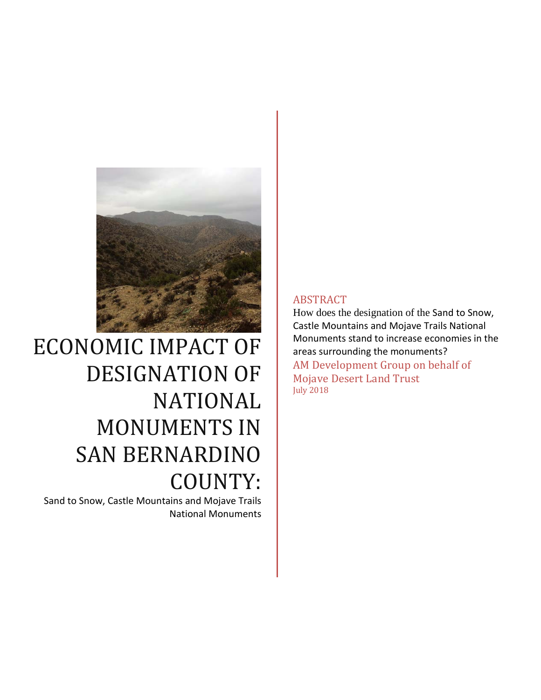

# ECONOMIC IMPACT OF DESIGNATION OF NATIONAL MONUMENTS IN SAN BERNARDINO COUNTY:

Sand to Snow, Castle Mountains and Mojave Trails National Monuments

## ABSTRACT

How does the designation of the Sand to Snow, Castle Mountains and Mojave Trails National Monuments stand to increase economies in the areas surrounding the monuments? AM Development Group on behalf of Mojave Desert Land Trust July 2018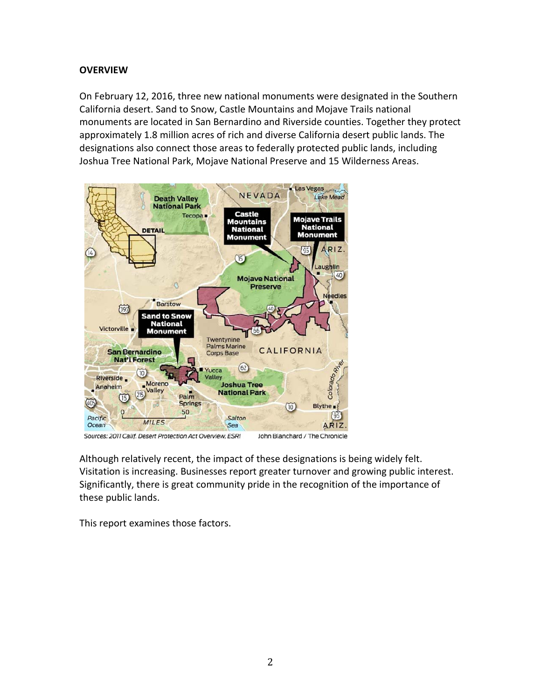# **OVERVIEW**

On February 12, 2016, three new national monuments were designated in the Southern California desert. Sand to Snow, Castle Mountains and Mojave Trails national monuments are located in San Bernardino and Riverside counties. Together they protect approximately 1.8 million acres of rich and diverse California desert public lands. The designations also connect those areas to federally protected public lands, including Joshua Tree National Park, Mojave National Preserve and 15 Wilderness Areas.



Sources: 2011 Calif. Desert Protection Act Overview, ESRI John Blanchard / The Chronicle

Although relatively recent, the impact of these designations is being widely felt. Visitation is increasing. Businesses report greater turnover and growing public interest. Significantly, there is great community pride in the recognition of the importance of these public lands.

This report examines those factors.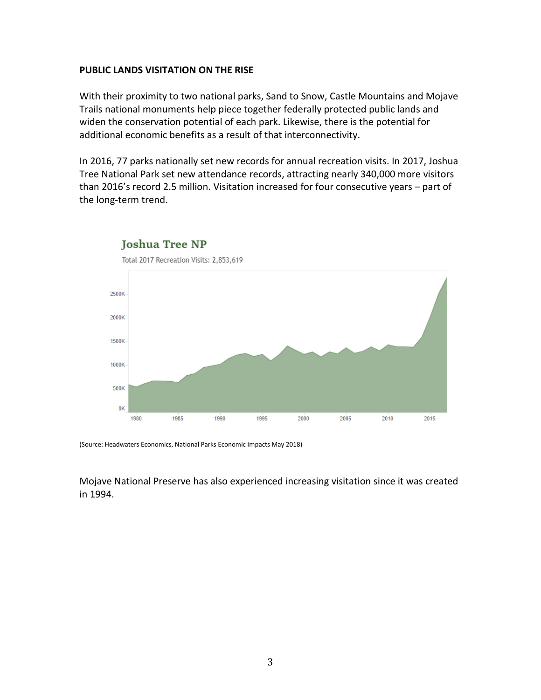### **PUBLIC LANDS VISITATION ON THE RISE**

With their proximity to two national parks, Sand to Snow, Castle Mountains and Mojave Trails national monuments help piece together federally protected public lands and widen the conservation potential of each park. Likewise, there is the potential for additional economic benefits as a result of that interconnectivity.

In 2016, 77 parks nationally set new records for annual recreation visits. In 2017, Joshua Tree National Park set new attendance records, attracting nearly 340,000 more visitors than 2016's record 2.5 million. Visitation increased for four consecutive years – part of the long-term trend.



Joshua Tree NP

(Source: Headwaters Economics, National Parks Economic Impacts May 2018)

Mojave National Preserve has also experienced increasing visitation since it was created in 1994.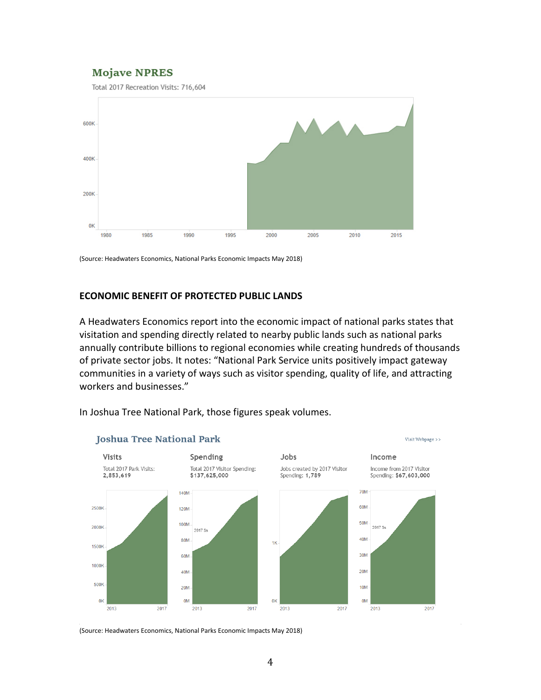# **Mojave NPRES**

Total 2017 Recreation Visits: 716,604



(Source: Headwaters Economics, National Parks Economic Impacts May 2018)

## **ECONOMIC BENEFIT OF PROTECTED PUBLIC LANDS**

A Headwaters Economics report into the economic impact of national parks states that visitation and spending directly related to nearby public lands such as national parks annually contribute billions to regional economies while creating hundreds of thousands of private sector jobs. It notes: "National Park Service units positively impact gateway communities in a variety of ways such as visitor spending, quality of life, and attracting workers and businesses."



In Joshua Tree National Park, those figures speak volumes.

(Source: Headwaters Economics, National Parks Economic Impacts May 2018)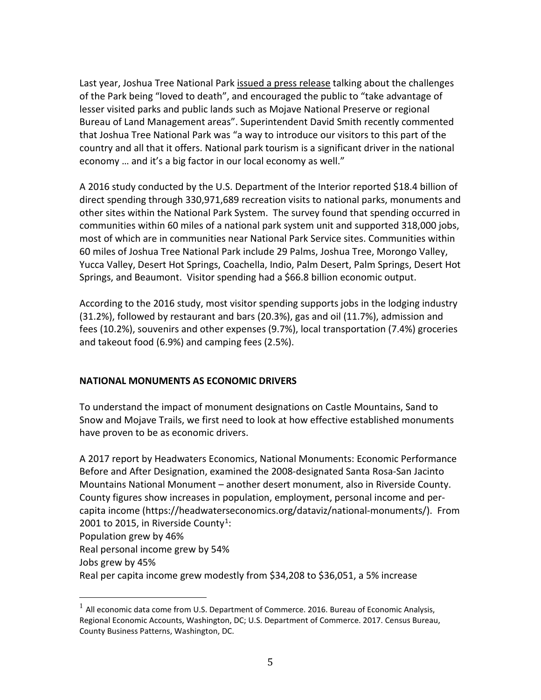Last year, Joshua Tree National Park [issued a press release](https://www.nps.gov/jotr/learn/news/recordvisitation2016.htm) talking about the challenges of the Park being "loved to death", and encouraged the public to "take advantage of lesser visited parks and public lands such as Mojave National Preserve or regional Bureau of Land Management areas". Superintendent David Smith recently commented that Joshua Tree National Park was "a way to introduce our visitors to this part of the country and all that it offers. National park tourism is a significant driver in the national economy … and it's a big factor in our local economy as well."

A 2016 study conducted by the U.S. Department of the Interior reported \$18.4 billion of direct spending through 330,971,689 recreation visits to national parks, monuments and other sites within the National Park System. The survey found that spending occurred in communities within 60 miles of a national park system unit and supported 318,000 jobs, most of which are in communities near National Park Service sites. Communities within 60 miles of Joshua Tree National Park include 29 Palms, Joshua Tree, Morongo Valley, Yucca Valley, Desert Hot Springs, Coachella, Indio, Palm Desert, Palm Springs, Desert Hot Springs, and Beaumont. Visitor spending had a \$66.8 billion economic output.

According to the 2016 study, most visitor spending supports jobs in the lodging industry (31.2%), followed by restaurant and bars (20.3%), gas and oil (11.7%), admission and fees (10.2%), souvenirs and other expenses (9.7%), local transportation (7.4%) groceries and takeout food (6.9%) and camping fees (2.5%).

## **NATIONAL MONUMENTS AS ECONOMIC DRIVERS**

To understand the impact of monument designations on Castle Mountains, Sand to Snow and Mojave Trails, we first need to look at how effective established monuments have proven to be as economic drivers.

A 2017 report by Headwaters Economics, National Monuments: Economic Performance Before and After Designation, examined the 2008-designated Santa Rosa-San Jacinto Mountains National Monument – another desert monument, also in Riverside County. County figures show increases in population, employment, personal income and percapita income (https://headwaterseconomics.org/dataviz/national-monuments/). From 2001 to 2015, in Riverside County<sup>1</sup>:

Population grew by 46%

Real personal income grew by 54%

Jobs grew by 45%

Real per capita income grew modestly from \$34,208 to \$36,051, a 5% increase

<span id="page-4-0"></span> $1$  All economic data come from U.S. Department of Commerce. 2016. Bureau of Economic Analysis, Regional Economic Accounts, Washington, DC; U.S. Department of Commerce. 2017. Census Bureau, County Business Patterns, Washington, DC.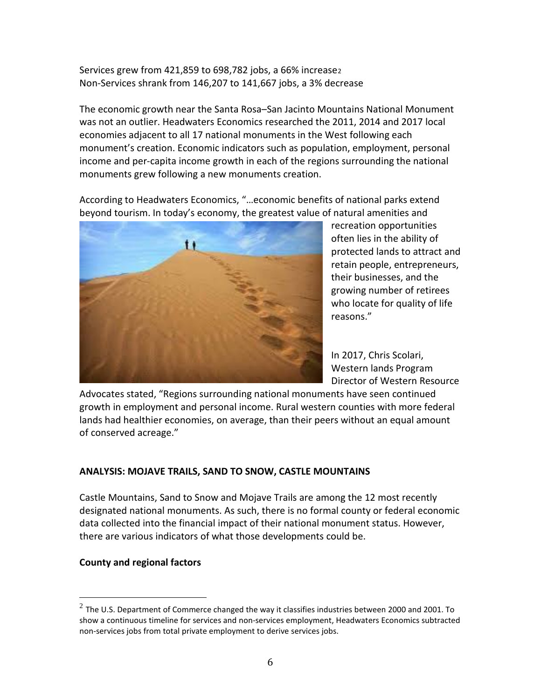Services grew from 4[2](#page-5-0)1,859 to 698,782 jobs, a 66% increase<sub>2</sub> Non-Services shrank from 146,207 to 141,667 jobs, a 3% decrease

The economic growth near the Santa Rosa–San Jacinto Mountains National Monument was not an outlier. Headwaters Economics researched the 2011, 2014 and 2017 local economies adjacent to all 17 national monuments in the West following each monument's creation. Economic indicators such as population, employment, personal income and per-capita income growth in each of the regions surrounding the national monuments grew following a new monuments creation.

According to Headwaters Economics, "…economic benefits of national parks extend beyond tourism. In today's economy, the greatest value of natural amenities and



recreation opportunities often lies in the ability of protected lands to attract and retain people, entrepreneurs, their businesses, and the growing number of retirees who locate for quality of life reasons."

In 2017, Chris Scolari, Western lands Program Director of Western Resource

Advocates stated, "Regions surrounding national monuments have seen continued growth in employment and personal income. Rural western counties with more federal lands had healthier economies, on average, than their peers without an equal amount of conserved acreage."

# **ANALYSIS: MOJAVE TRAILS, SAND TO SNOW, CASTLE MOUNTAINS**

Castle Mountains, Sand to Snow and Mojave Trails are among the 12 most recently designated national monuments. As such, there is no formal county or federal economic data collected into the financial impact of their national monument status. However, there are various indicators of what those developments could be.

# **County and regional factors**

<span id="page-5-0"></span> $2$  The U.S. Department of Commerce changed the way it classifies industries between 2000 and 2001. To show a continuous timeline for services and non-services employment, Headwaters Economics subtracted non-services jobs from total private employment to derive services jobs.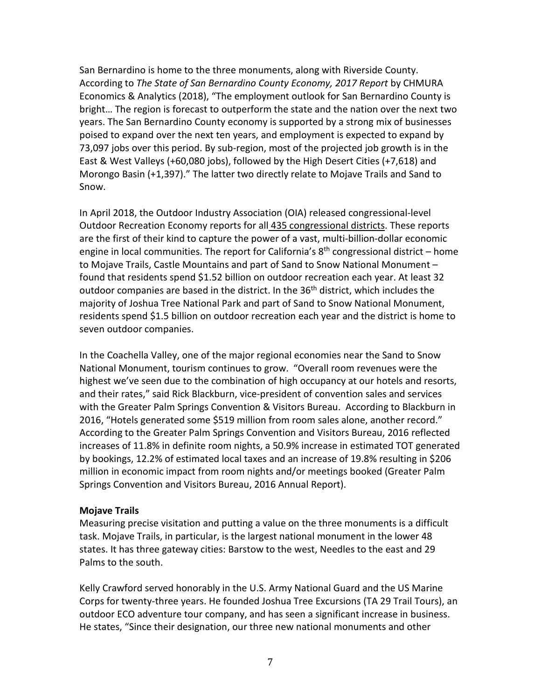San Bernardino is home to the three monuments, along with Riverside County. According to *The State of San Bernardino County Economy, 2017 Report* by CHMURA Economics & Analytics (2018), "The employment outlook for San Bernardino County is bright… The region is forecast to outperform the state and the nation over the next two years. The San Bernardino County economy is supported by a strong mix of businesses poised to expand over the next ten years, and employment is expected to expand by 73,097 jobs over this period. By sub-region, most of the projected job growth is in the East & West Valleys (+60,080 jobs), followed by the High Desert Cities (+7,618) and Morongo Basin (+1,397)." The latter two directly relate to Mojave Trails and Sand to Snow.

In April 2018, the Outdoor Industry Association (OIA) released congressional-level Outdoor Recreation Economy reports for all [435 congressional districts.](http://oia.outdoorindustry.org/e/51282/tm-campaign-ga-rec-economy2018/9k9w2k/669369472) These reports are the first of their kind to capture the power of a vast, multi-billion-dollar economic engine in local communities. The report for California's  $8<sup>th</sup>$  congressional district – home to Mojave Trails, Castle Mountains and part of Sand to Snow National Monument – found that residents spend \$1.52 billion on outdoor recreation each year. At least 32 outdoor companies are based in the district. In the 36<sup>th</sup> district, which includes the majority of Joshua Tree National Park and part of Sand to Snow National Monument, residents spend \$1.5 billion on outdoor recreation each year and the district is home to seven outdoor companies.

In the Coachella Valley, one of the major regional economies near the Sand to Snow National Monument, tourism continues to grow. "Overall room revenues were the highest we've seen due to the combination of high occupancy at our hotels and resorts, and their rates," said Rick Blackburn, vice-president of convention sales and services with the Greater Palm Springs Convention & Visitors Bureau. According to Blackburn in 2016, "Hotels generated some \$519 million from room sales alone, another record." According to the Greater Palm Springs Convention and Visitors Bureau, 2016 reflected increases of 11.8% in definite room nights, a 50.9% increase in estimated TOT generated by bookings, 12.2% of estimated local taxes and an increase of 19.8% resulting in \$206 million in economic impact from room nights and/or meetings booked (Greater Palm Springs Convention and Visitors Bureau, 2016 Annual Report).

## **Mojave Trails**

Measuring precise visitation and putting a value on the three monuments is a difficult task. Mojave Trails, in particular, is the largest national monument in the lower 48 states. It has three gateway cities: Barstow to the west, Needles to the east and 29 Palms to the south.

Kelly Crawford served honorably in the U.S. Army National Guard and the US Marine Corps for twenty-three years. He founded Joshua Tree Excursions (TA 29 Trail Tours), an outdoor ECO adventure tour company, and has seen a significant increase in business. He states, "Since their designation, our three new national monuments and other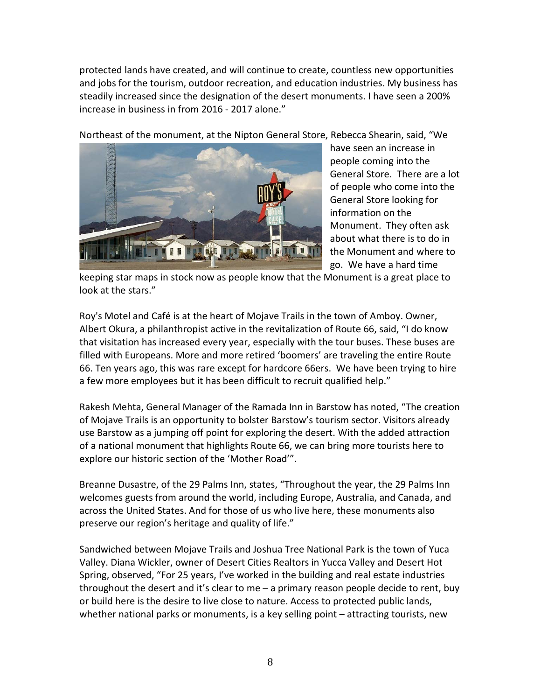protected lands have created, and will continue to create, countless new opportunities and jobs for the tourism, outdoor recreation, and education industries. My business has steadily increased since the designation of the desert monuments. I have seen a 200% increase in business in from 2016 - 2017 alone."

Northeast of the monument, at the Nipton General Store, Rebecca Shearin, said, "We



have seen an increase in people coming into the General Store. There are a lot of people who come into the General Store looking for information on the Monument. They often ask about what there is to do in the Monument and where to go. We have a hard time

keeping star maps in stock now as people know that the Monument is a great place to look at the stars."

Roy's Motel and Café is at the heart of Mojave Trails in the town of Amboy. Owner, Albert Okura, a philanthropist active in the revitalization of Route 66, said, "I do know that visitation has increased every year, especially with the tour buses. These buses are filled with Europeans. More and more retired 'boomers' are traveling the entire Route 66. Ten years ago, this was rare except for hardcore 66ers. We have been trying to hire a few more employees but it has been difficult to recruit qualified help."

Rakesh Mehta, General Manager of the Ramada Inn in Barstow has noted, "The creation of Mojave Trails is an opportunity to bolster Barstow's tourism sector. Visitors already use Barstow as a jumping off point for exploring the desert. With the added attraction of a national monument that highlights Route 66, we can bring more tourists here to explore our historic section of the 'Mother Road'".

Breanne Dusastre, of the 29 Palms Inn, states, "Throughout the year, the 29 Palms Inn welcomes guests from around the world, including Europe, Australia, and Canada, and across the United States. And for those of us who live here, these monuments also preserve our region's heritage and quality of life."

Sandwiched between Mojave Trails and Joshua Tree National Park is the town of Yuca Valley. Diana Wickler, owner of Desert Cities Realtors in Yucca Valley and Desert Hot Spring, observed, "For 25 years, I've worked in the building and real estate industries throughout the desert and it's clear to me  $-$  a primary reason people decide to rent, buy or build here is the desire to live close to nature. Access to protected public lands, whether national parks or monuments, is a key selling point – attracting tourists, new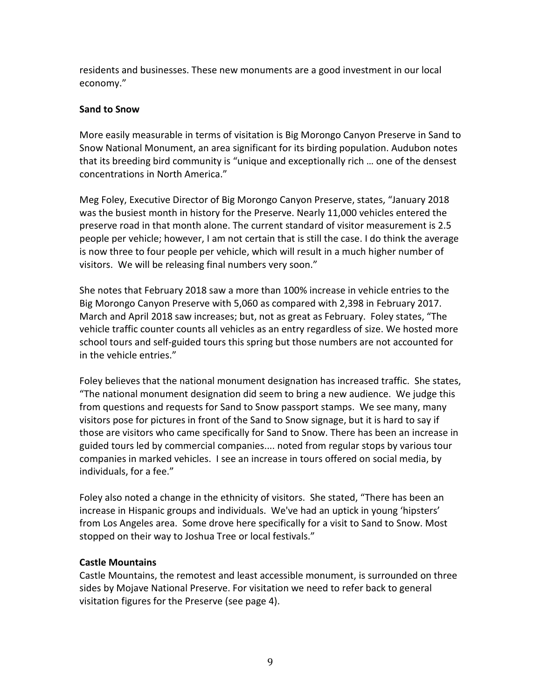residents and businesses. These new monuments are a good investment in our local economy."

# **Sand to Snow**

More easily measurable in terms of visitation is Big Morongo Canyon Preserve in Sand to Snow National Monument, an area significant for its birding population. Audubon notes that its breeding bird community is "unique and exceptionally rich … one of the densest concentrations in North America."

Meg Foley, Executive Director of Big Morongo Canyon Preserve, states, "January 2018 was the busiest month in history for the Preserve. Nearly 11,000 vehicles entered the preserve road in that month alone. The current standard of visitor measurement is 2.5 people per vehicle; however, I am not certain that is still the case. I do think the average is now three to four people per vehicle, which will result in a much higher number of visitors. We will be releasing final numbers very soon."

She notes that February 2018 saw a more than 100% increase in vehicle entries to the Big Morongo Canyon Preserve with 5,060 as compared with 2,398 in February 2017. March and April 2018 saw increases; but, not as great as February. Foley states, "The vehicle traffic counter counts all vehicles as an entry regardless of size. We hosted more school tours and self-guided tours this spring but those numbers are not accounted for in the vehicle entries."

Foley believes that the national monument designation has increased traffic. She states, "The national monument designation did seem to bring a new audience. We judge this from questions and requests for Sand to Snow passport stamps. We see many, many visitors pose for pictures in front of the Sand to Snow signage, but it is hard to say if those are visitors who came specifically for Sand to Snow. There has been an increase in guided tours led by commercial companies.... noted from regular stops by various tour companies in marked vehicles. I see an increase in tours offered on social media, by individuals, for a fee."

Foley also noted a change in the ethnicity of visitors. She stated, "There has been an increase in Hispanic groups and individuals. We've had an uptick in young 'hipsters' from Los Angeles area. Some drove here specifically for a visit to Sand to Snow. Most stopped on their way to Joshua Tree or local festivals."

# **Castle Mountains**

Castle Mountains, the remotest and least accessible monument, is surrounded on three sides by Mojave National Preserve. For visitation we need to refer back to general visitation figures for the Preserve (see page 4).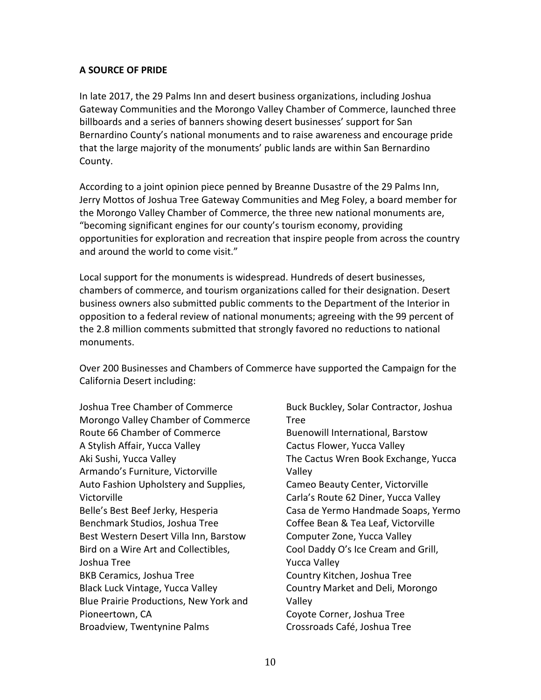## **A SOURCE OF PRIDE**

In late 2017, the 29 Palms Inn and desert business organizations, including Joshua Gateway Communities and the Morongo Valley Chamber of Commerce, launched three billboards and a series of banners showing desert businesses' support for San Bernardino County's national monuments and to raise awareness and encourage pride that the large majority of the monuments' public lands are within San Bernardino County.

According to a joint opinion piece penned by Breanne Dusastre of the 29 Palms Inn, Jerry Mottos of Joshua Tree Gateway Communities and Meg Foley, a board member for the Morongo Valley Chamber of Commerce, the three new national monuments are, "becoming significant engines for our county's tourism economy, providing opportunities for exploration and recreation that inspire people from across the country and around the world to come visit."

Local support for the monuments is widespread. Hundreds of desert businesses, chambers of commerce, and tourism organizations called for their designation. Desert business owners also submitted public comments to the Department of the Interior in opposition to a federal review of national monuments; agreeing with the 99 percent of the 2.8 million comments submitted that strongly favored no reductions to national monuments.

Over 200 Businesses and Chambers of Commerce have supported the Campaign for the California Desert including:

Joshua Tree Chamber of Commerce Morongo Valley Chamber of Commerce Route 66 Chamber of Commerce A Stylish Affair, Yucca Valley Aki Sushi, Yucca Valley Armando's Furniture, Victorville Auto Fashion Upholstery and Supplies, Victorville Belle's Best Beef Jerky, Hesperia Benchmark Studios, Joshua Tree Best Western Desert Villa Inn, Barstow Bird on a Wire Art and Collectibles, Joshua Tree BKB Ceramics, Joshua Tree Black Luck Vintage, Yucca Valley Blue Prairie Productions, New York and Pioneertown, CA Broadview, Twentynine Palms

Buck Buckley, Solar Contractor, Joshua Tree Buenowill International, Barstow Cactus Flower, Yucca Valley The Cactus Wren Book Exchange, Yucca Valley Cameo Beauty Center, Victorville Carla's Route 62 Diner, Yucca Valley Casa de Yermo Handmade Soaps, Yermo Coffee Bean & Tea Leaf, Victorville Computer Zone, Yucca Valley Cool Daddy O's Ice Cream and Grill, Yucca Valley Country Kitchen, Joshua Tree Country Market and Deli, Morongo Valley Coyote Corner, Joshua Tree Crossroads Café, Joshua Tree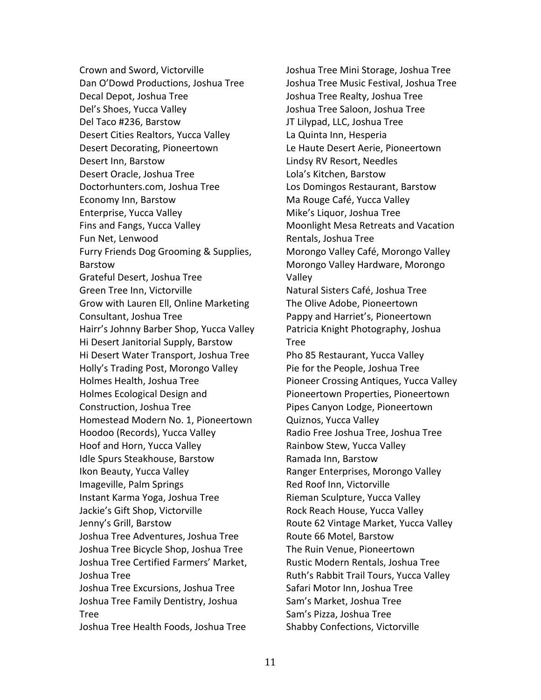Crown and Sword, Victorville Dan O'Dowd Productions, Joshua Tree Decal Depot, Joshua Tree Del's Shoes, Yucca Valley Del Taco #236, Barstow Desert Cities Realtors, Yucca Valley Desert Decorating, Pioneertown Desert Inn, Barstow Desert Oracle, Joshua Tree [Doctorhunters.com,](http://doctorhunters.com/) Joshua Tree Economy Inn, Barstow Enterprise, Yucca Valley Fins and Fangs, Yucca Valley Fun Net, Lenwood Furry Friends Dog Grooming & Supplies, Barstow Grateful Desert, Joshua Tree Green Tree Inn, Victorville Grow with Lauren Ell, Online Marketing Consultant, Joshua Tree Hairr's Johnny Barber Shop, Yucca Valley Hi Desert Janitorial Supply, Barstow Hi Desert Water Transport, Joshua Tree Holly's Trading Post, Morongo Valley Holmes Health, Joshua Tree Holmes Ecological Design and Construction, Joshua Tree Homestead Modern No. 1, Pioneertown Hoodoo (Records), Yucca Valley Hoof and Horn, Yucca Valley Idle Spurs Steakhouse, Barstow Ikon Beauty, Yucca Valley Imageville, Palm Springs Instant Karma Yoga, Joshua Tree Jackie's Gift Shop, Victorville Jenny's Grill, Barstow Joshua Tree Adventures, Joshua Tree Joshua Tree Bicycle Shop, Joshua Tree Joshua Tree Certified Farmers' Market, Joshua Tree Joshua Tree Excursions, Joshua Tree Joshua Tree Family Dentistry, Joshua Tree Joshua Tree Health Foods, Joshua Tree

Joshua Tree Mini Storage, Joshua Tree Joshua Tree Music Festival, Joshua Tree Joshua Tree Realty, Joshua Tree Joshua Tree Saloon, Joshua Tree JT Lilypad, LLC, Joshua Tree La Quinta Inn, Hesperia Le Haute Desert Aerie, Pioneertown Lindsy RV Resort, Needles Lola's Kitchen, Barstow Los Domingos Restaurant, Barstow Ma Rouge Café, Yucca Valley Mike's Liquor, Joshua Tree Moonlight Mesa Retreats and Vacation Rentals, Joshua Tree Morongo Valley Café, Morongo Valley Morongo Valley Hardware, Morongo Valley Natural Sisters Café, Joshua Tree The Olive Adobe, Pioneertown Pappy and Harriet's, Pioneertown Patricia Knight Photography, Joshua Tree Pho 85 Restaurant, Yucca Valley Pie for the People, Joshua Tree Pioneer Crossing Antiques, Yucca Valley Pioneertown Properties, Pioneertown Pipes Canyon Lodge, Pioneertown Quiznos, Yucca Valley Radio Free Joshua Tree, Joshua Tree Rainbow Stew, Yucca Valley Ramada Inn, Barstow Ranger Enterprises, Morongo Valley Red Roof Inn, Victorville Rieman Sculpture, Yucca Valley Rock Reach House, Yucca Valley Route 62 Vintage Market, Yucca Valley Route 66 Motel, Barstow The Ruin Venue, Pioneertown Rustic Modern Rentals, Joshua Tree Ruth's Rabbit Trail Tours, Yucca Valley Safari Motor Inn, Joshua Tree Sam's Market, Joshua Tree Sam's Pizza, Joshua Tree Shabby Confections, Victorville